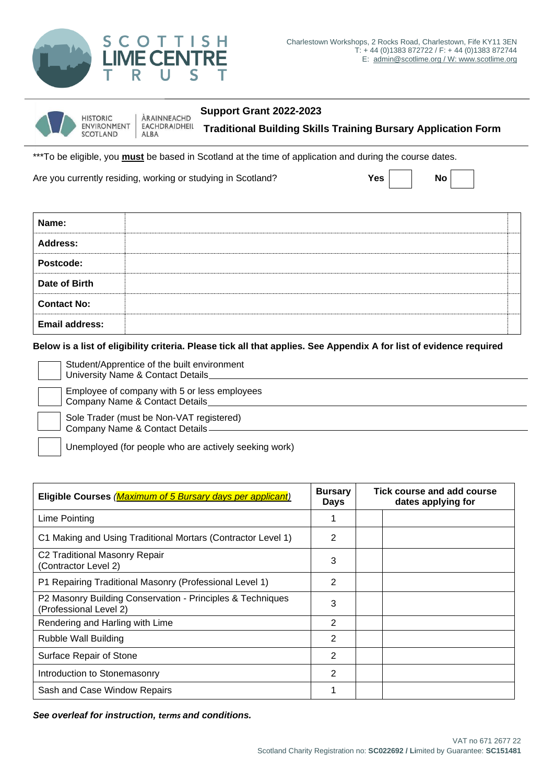

| W | <b>HISTORIC</b><br>ENVIRONMENT   EACHDRAIDHEIL<br>SCOTLAND | ÀRAINNEACHD | Support Grant 2022-2023                                              |
|---|------------------------------------------------------------|-------------|----------------------------------------------------------------------|
|   |                                                            | <b>ALBA</b> | <b>Traditional Building Skills Training Bursary Application Form</b> |

\*\*\*To be eligible, you **must** be based in Scotland at the time of application and during the course dates.

Are you currently residing, working or studying in Scotland? **Yes Yes No** 

| Name:                 |  |
|-----------------------|--|
| <b>Address:</b>       |  |
| Postcode:             |  |
| Date of Birth         |  |
| <b>Contact No:</b>    |  |
| <b>Email address:</b> |  |

**Below is a list of eligibility criteria. Please tick all that applies. See Appendix A for list of evidence required**

Student/Apprentice of the built environment University Name & Contact Details Employee of company with 5 or less employees

Company Name & Contact Details Sole Trader (must be Non-VAT registered)

Company Name & Contact Details

Unemployed (for people who are actively seeking work)

| Eligible Courses (Maximum of 5 Bursary days per applicant)                           |   | Tick course and add course<br>dates applying for |  |
|--------------------------------------------------------------------------------------|---|--------------------------------------------------|--|
| Lime Pointing                                                                        |   |                                                  |  |
| C1 Making and Using Traditional Mortars (Contractor Level 1)                         | 2 |                                                  |  |
| C <sub>2</sub> Traditional Masonry Repair<br>(Contractor Level 2)                    | 3 |                                                  |  |
| P1 Repairing Traditional Masonry (Professional Level 1)                              | 2 |                                                  |  |
| P2 Masonry Building Conservation - Principles & Techniques<br>(Professional Level 2) | 3 |                                                  |  |
| Rendering and Harling with Lime                                                      | 2 |                                                  |  |
| Rubble Wall Building                                                                 | 2 |                                                  |  |
| Surface Repair of Stone                                                              | 2 |                                                  |  |
| Introduction to Stonemasonry                                                         | 2 |                                                  |  |
| Sash and Case Window Repairs                                                         |   |                                                  |  |

*See overleaf for instruction, terms and conditions.*